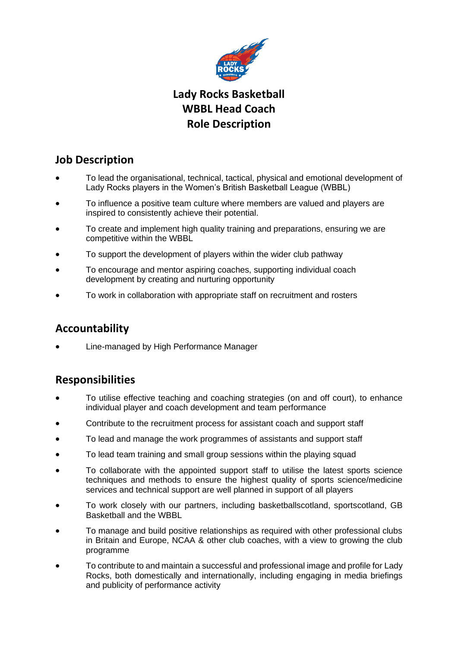

# **Lady Rocks Basketball WBBL Head Coach Role Description**

# **Job Description**

- To lead the organisational, technical, tactical, physical and emotional development of Lady Rocks players in the Women's British Basketball League (WBBL)
- To influence a positive team culture where members are valued and players are inspired to consistently achieve their potential.
- To create and implement high quality training and preparations, ensuring we are competitive within the WBBL
- To support the development of players within the wider club pathway
- To encourage and mentor aspiring coaches, supporting individual coach development by creating and nurturing opportunity
- To work in collaboration with appropriate staff on recruitment and rosters

# **Accountability**

• Line-managed by High Performance Manager

# **Responsibilities**

- To utilise effective teaching and coaching strategies (on and off court), to enhance individual player and coach development and team performance
- Contribute to the recruitment process for assistant coach and support staff
- To lead and manage the work programmes of assistants and support staff
- To lead team training and small group sessions within the playing squad
- To collaborate with the appointed support staff to utilise the latest sports science techniques and methods to ensure the highest quality of sports science/medicine services and technical support are well planned in support of all players
- To work closely with our partners, including basketballscotland, sportscotland, GB Basketball and the WBBL
- To manage and build positive relationships as required with other professional clubs in Britain and Europe, NCAA & other club coaches, with a view to growing the club programme
- To contribute to and maintain a successful and professional image and profile for Lady Rocks, both domestically and internationally, including engaging in media briefings and publicity of performance activity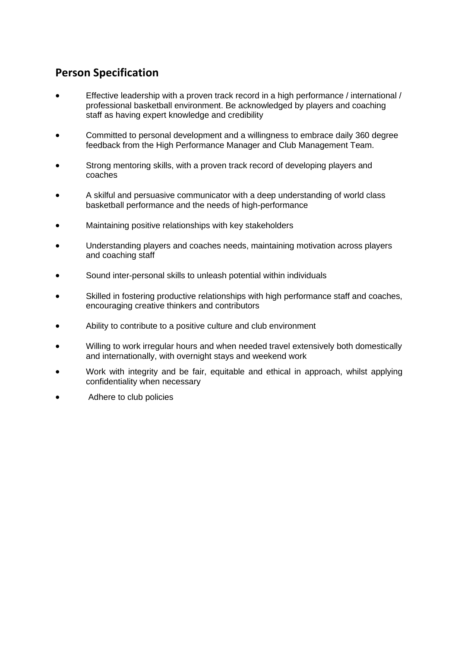## **Person Specification**

- Effective leadership with a proven track record in a high performance / international / professional basketball environment. Be acknowledged by players and coaching staff as having expert knowledge and credibility
- Committed to personal development and a willingness to embrace daily 360 degree feedback from the High Performance Manager and Club Management Team.
- Strong mentoring skills, with a proven track record of developing players and coaches
- A skilful and persuasive communicator with a deep understanding of world class basketball performance and the needs of high-performance
- Maintaining positive relationships with key stakeholders
- Understanding players and coaches needs, maintaining motivation across players and coaching staff
- Sound inter-personal skills to unleash potential within individuals
- Skilled in fostering productive relationships with high performance staff and coaches, encouraging creative thinkers and contributors
- Ability to contribute to a positive culture and club environment
- Willing to work irregular hours and when needed travel extensively both domestically and internationally, with overnight stays and weekend work
- Work with integrity and be fair, equitable and ethical in approach, whilst applying confidentiality when necessary
- Adhere to club policies